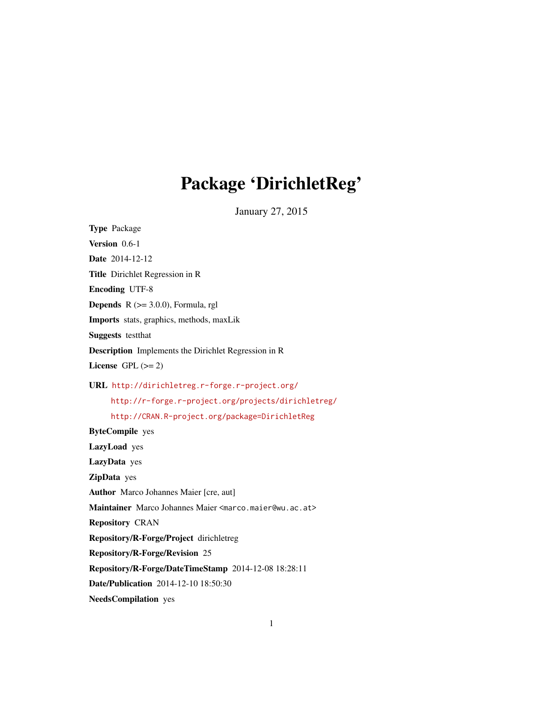# Package 'DirichletReg'

January 27, 2015

<span id="page-0-0"></span>Type Package Version 0.6-1 Date 2014-12-12 Title Dirichlet Regression in R Encoding UTF-8 **Depends**  $R$  ( $>= 3.0.0$ ), Formula, rgl Imports stats, graphics, methods, maxLik Suggests testthat Description Implements the Dirichlet Regression in R License GPL  $(>= 2)$ URL <http://dirichletreg.r-forge.r-project.org/> <http://r-forge.r-project.org/projects/dirichletreg/> <http://CRAN.R-project.org/package=DirichletReg> ByteCompile yes LazyLoad yes LazyData yes ZipData yes Author Marco Johannes Maier [cre, aut] Maintainer Marco Johannes Maier <marco.maier@wu.ac.at> Repository CRAN Repository/R-Forge/Project dirichletreg Repository/R-Forge/Revision 25 Repository/R-Forge/DateTimeStamp 2014-12-08 18:28:11 Date/Publication 2014-12-10 18:50:30 NeedsCompilation yes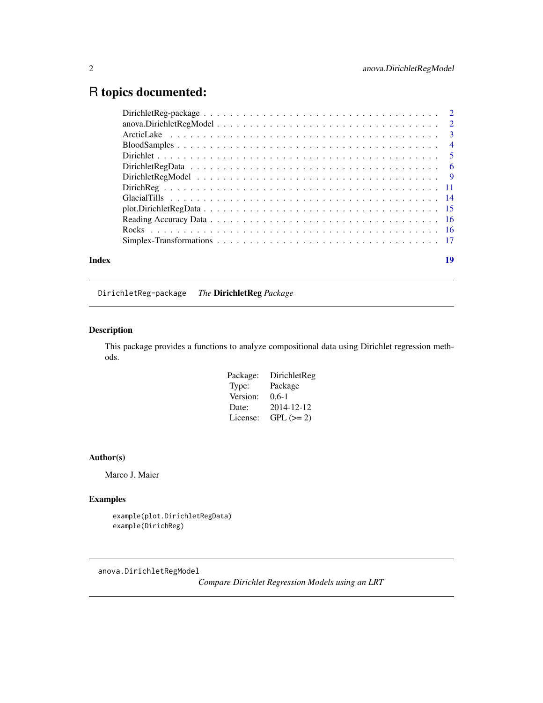# <span id="page-1-0"></span>R topics documented:

| Index | 19 |  |
|-------|----|--|
|       |    |  |

DirichletReg-package *The* DirichletReg *Package*

# Description

This package provides a functions to analyze compositional data using Dirichlet regression methods.

| Package: | DirichletReg |
|----------|--------------|
| Type:    | Package      |
| Version: | $0.6-1$      |
| Date:    | 2014-12-12   |
| License: | $GPL (= 2)$  |

#### Author(s)

Marco J. Maier

# Examples

```
example(plot.DirichletRegData)
example(DirichReg)
```
anova.DirichletRegModel

*Compare Dirichlet Regression Models using an LRT*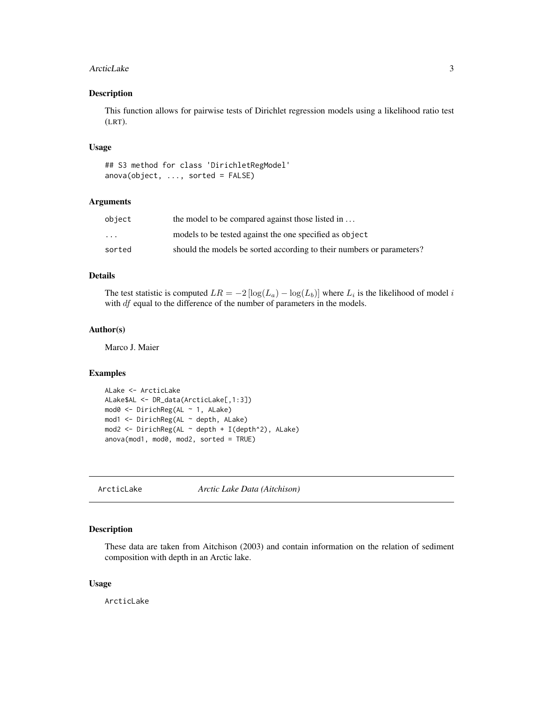#### <span id="page-2-0"></span>ArcticLake 3

#### Description

This function allows for pairwise tests of Dirichlet regression models using a likelihood ratio test (LRT).

#### Usage

```
## S3 method for class 'DirichletRegModel'
anova(object, ..., sorted = FALSE)
```
#### Arguments

| object                  | the model to be compared against those listed in                      |
|-------------------------|-----------------------------------------------------------------------|
| $\cdot$ $\cdot$ $\cdot$ | models to be tested against the one specified as object               |
| sorted                  | should the models be sorted according to their numbers or parameters? |

# Details

The test statistic is computed  $LR = -2 \left[ \log(L_a) - \log(L_b) \right]$  where  $L_i$  is the likelihood of model i with *df* equal to the difference of the number of parameters in the models.

#### Author(s)

Marco J. Maier

# Examples

```
ALake <- ArcticLake
ALake$AL <- DR_data(ArcticLake[,1:3])
mod0 <- DirichReg(AL ~ 1, ALake)
mod1 <- DirichReg(AL ~ depth, ALake)
mod2 <- DirichReg(AL ~ depth + I(depth^2), ALake)
anova(mod1, mod0, mod2, sorted = TRUE)
```
ArcticLake *Arctic Lake Data (Aitchison)*

#### Description

These data are taken from Aitchison (2003) and contain information on the relation of sediment composition with depth in an Arctic lake.

# Usage

ArcticLake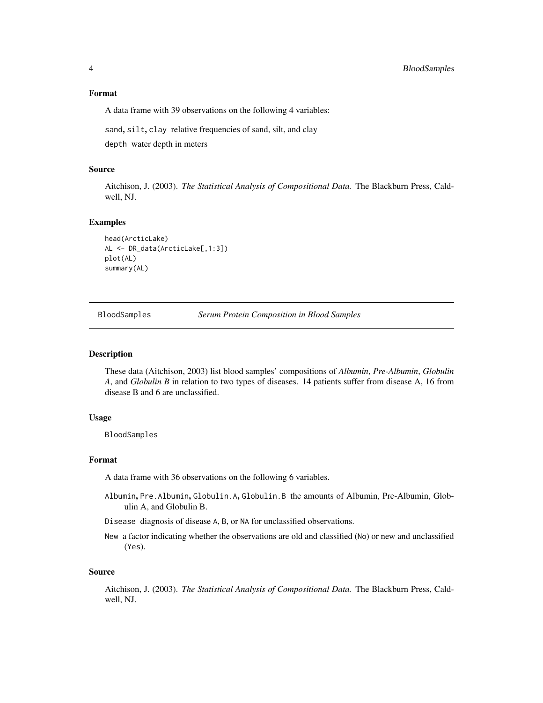#### <span id="page-3-0"></span>Format

A data frame with 39 observations on the following 4 variables:

sand, silt, clay relative frequencies of sand, silt, and clay

depth water depth in meters

# Source

Aitchison, J. (2003). *The Statistical Analysis of Compositional Data.* The Blackburn Press, Caldwell, NJ.

#### Examples

```
head(ArcticLake)
AL <- DR_data(ArcticLake[,1:3])
plot(AL)
summary(AL)
```
BloodSamples *Serum Protein Composition in Blood Samples*

# Description

These data (Aitchison, 2003) list blood samples' compositions of *Albumin*, *Pre-Albumin*, *Globulin A*, and *Globulin B* in relation to two types of diseases. 14 patients suffer from disease A, 16 from disease B and 6 are unclassified.

#### Usage

BloodSamples

# Format

A data frame with 36 observations on the following 6 variables.

- Albumin, Pre.Albumin, Globulin.A, Globulin.B the amounts of Albumin, Pre-Albumin, Globulin A, and Globulin B.
- Disease diagnosis of disease A, B, or NA for unclassified observations.
- New a factor indicating whether the observations are old and classified (No) or new and unclassified (Yes).

#### Source

Aitchison, J. (2003). *The Statistical Analysis of Compositional Data.* The Blackburn Press, Caldwell, NJ.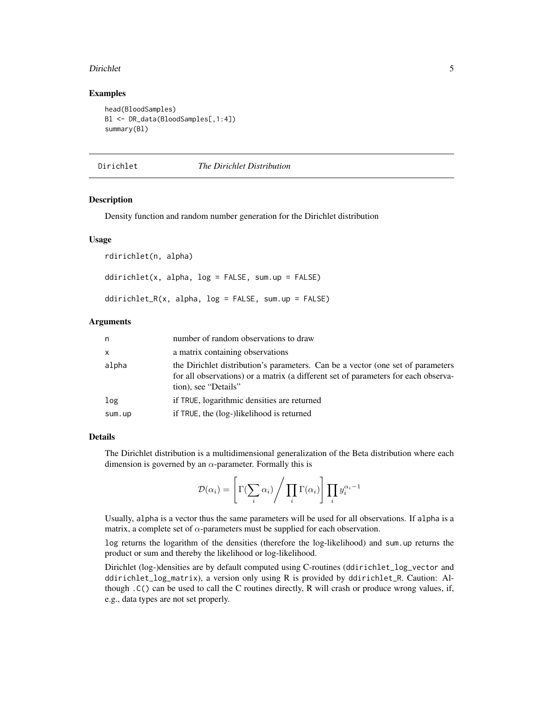#### <span id="page-4-0"></span>Dirichlet 5

#### Examples

```
head(BloodSamples)
Bl <- DR_data(BloodSamples[,1:4])
summary(Bl)
```
Dirichlet *The Dirichlet Distribution*

# Description

Density function and random number generation for the Dirichlet distribution

#### Usage

rdirichlet(n, alpha) ddirichlet(x, alpha,  $log = FALSE$ , sum.up =  $FALSE$ ) ddirichlet\_R(x, alpha,  $log = FALSE$ , sum.up = FALSE)

# Arguments

| n            | number of random observations to draw                                                                                                                                                         |
|--------------|-----------------------------------------------------------------------------------------------------------------------------------------------------------------------------------------------|
| $\mathsf{x}$ | a matrix containing observations                                                                                                                                                              |
| alpha        | the Dirichlet distribution's parameters. Can be a vector (one set of parameters<br>for all observations) or a matrix (a different set of parameters for each observa-<br>tion), see "Details" |
| log          | if TRUE, logarithmic densities are returned                                                                                                                                                   |
| sum.up       | if TRUE, the (log-)likelihood is returned                                                                                                                                                     |

# Details

The Dirichlet distribution is a multidimensional generalization of the Beta distribution where each dimension is governed by an  $\alpha$ -parameter. Formally this is

$$
\mathcal{D}(\alpha_i) = \left[ \Gamma(\sum_i \alpha_i) / \prod_i \Gamma(\alpha_i) \right] \prod_i y_i^{\alpha_i - 1}
$$

Usually, alpha is a vector thus the same parameters will be used for all observations. If alpha is a matrix, a complete set of  $\alpha$ -parameters must be supplied for each observation.

log returns the logarithm of the densities (therefore the log-likelihood) and sum.up returns the product or sum and thereby the likelihood or log-likelihood.

Dirichlet (log-)densities are by default computed using C-routines (ddirichlet\_log\_vector and ddirichlet\_log\_matrix), a version only using R is provided by ddirichlet\_R. Caution: Although .C() can be used to call the C routines directly, R will crash or produce wrong values, if, e.g., data types are not set properly.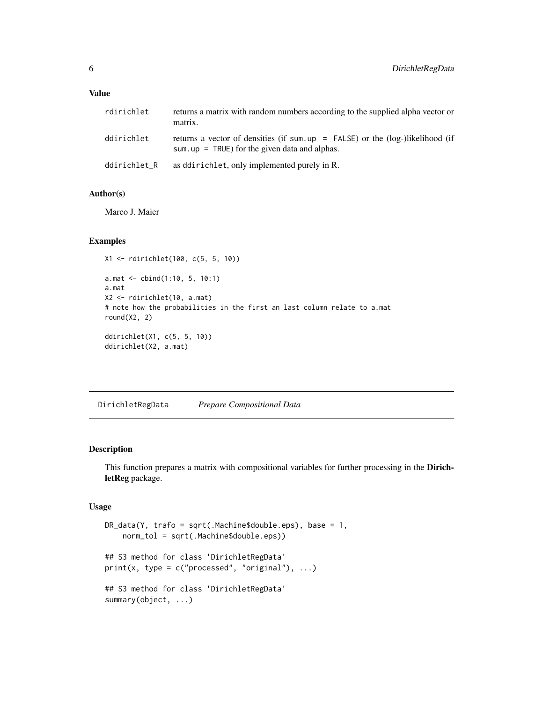#### <span id="page-5-0"></span>Value

| rdirichlet   | returns a matrix with random numbers according to the supplied alpha vector or<br>matrix.                                                  |
|--------------|--------------------------------------------------------------------------------------------------------------------------------------------|
| ddirichlet   | returns a vector of densities (if sum, $up = FALSE$ ) or the ( $log$ -)likelihood (if<br>sum, $up = TRUE$ ) for the given data and alphas. |
| ddirichlet_R | as ddirichlet, only implemented purely in R.                                                                                               |

## Author(s)

Marco J. Maier

# Examples

```
X1 <- rdirichlet(100, c(5, 5, 10))
a.mat <- cbind(1:10, 5, 10:1)
a.mat
X2 <- rdirichlet(10, a.mat)
# note how the probabilities in the first an last column relate to a.mat
round(X2, 2)
ddirichlet(X1, c(5, 5, 10))
ddirichlet(X2, a.mat)
```
DirichletRegData *Prepare Compositional Data*

# <span id="page-5-1"></span>Description

This function prepares a matrix with compositional variables for further processing in the DirichletReg package.

# Usage

```
DR_data(Y, trafo = sqrt(.Machine$double.eps), base = 1,
    norm_tol = sqrt(.Machine$double.eps))
## S3 method for class 'DirichletRegData'
print(x, type = c("processed", "original"), ...)## S3 method for class 'DirichletRegData'
summary(object, ...)
```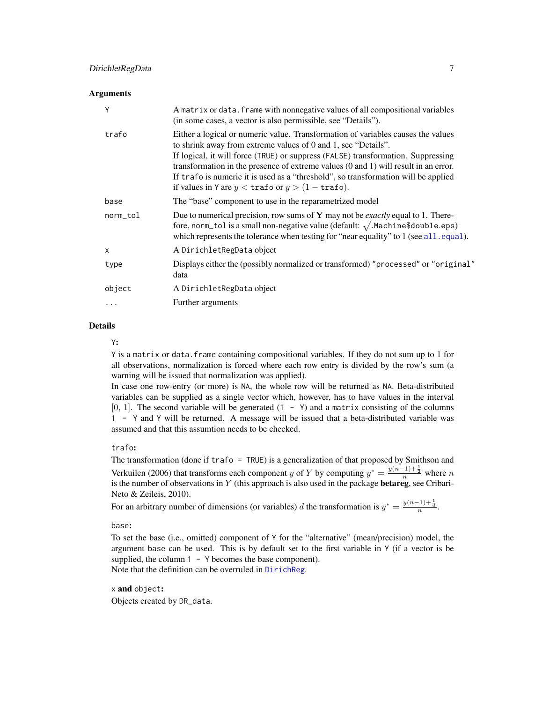# <span id="page-6-0"></span>DirichletRegData 7

#### **Arguments**

| Y            | A matrix or data. frame with nonnegative values of all compositional variables<br>(in some cases, a vector is also permissible, see "Details").                                                                                                                                                                                                                                                                                                                                                     |
|--------------|-----------------------------------------------------------------------------------------------------------------------------------------------------------------------------------------------------------------------------------------------------------------------------------------------------------------------------------------------------------------------------------------------------------------------------------------------------------------------------------------------------|
| trafo        | Either a logical or numeric value. Transformation of variables causes the values<br>to shrink away from extreme values of 0 and 1, see "Details".<br>If logical, it will force (TRUE) or suppress (FALSE) transformation. Suppressing<br>transformation in the presence of extreme values $(0 \text{ and } 1)$ will result in an error.<br>If trafo is numeric it is used as a "threshold", so transformation will be applied<br>if values in Y are $y < \text{trafo}$ or $y > (1 - \text{trafo}).$ |
| base         | The "base" component to use in the reparametrized model                                                                                                                                                                                                                                                                                                                                                                                                                                             |
| norm_tol     | Due to numerical precision, row sums of $Y$ may not be <i>exactly</i> equal to 1. There-<br>fore, norm_tol is a small non-negative value (default: $\sqrt{\cdot}$ Machine\$double.eps)<br>which represents the tolerance when testing for "near equality" to 1 (see all. equal).                                                                                                                                                                                                                    |
| $\mathsf{x}$ | A DirichletRegData object                                                                                                                                                                                                                                                                                                                                                                                                                                                                           |
| type         | Displays either the (possibly normalized or transformed) "processed" or "original"<br>data                                                                                                                                                                                                                                                                                                                                                                                                          |
| object       | A DirichletRegData object                                                                                                                                                                                                                                                                                                                                                                                                                                                                           |
| .            | Further arguments                                                                                                                                                                                                                                                                                                                                                                                                                                                                                   |
|              |                                                                                                                                                                                                                                                                                                                                                                                                                                                                                                     |

# Details

Y:

Y is a matrix or data.frame containing compositional variables. If they do not sum up to 1 for all observations, normalization is forced where each row entry is divided by the row's sum (a warning will be issued that normalization was applied).

In case one row-entry (or more) is NA, the whole row will be returned as NA. Beta-distributed variables can be supplied as a single vector which, however, has to have values in the interval  $[0, 1]$ . The second variable will be generated  $(1 - Y)$  and a matrix consisting of the columns 1 - Y and Y will be returned. A message will be issued that a beta-distributed variable was assumed and that this assumtion needs to be checked.

# trafo:

The transformation (done if trafo = TRUE) is a generalization of that proposed by Smithson and Verkuilen (2006) that transforms each component y of Y by computing  $y^* = \frac{y(n-1)+\frac{1}{2}}{n}$  where n is the number of observations in Y (this approach is also used in the package **betareg**, see Cribari-Neto & Zeileis, 2010).

For an arbitrary number of dimensions (or variables) d the transformation is  $y^* = \frac{y(n-1)+\frac{1}{d}}{n}$ .

base:

To set the base (i.e., omitted) component of Y for the "alternative" (mean/precision) model, the argument base can be used. This is by default set to the first variable in Y (if a vector is be supplied, the column  $1 - Y$  becomes the base component). Note that the definition can be overruled in [DirichReg](#page-10-1).

x and object: Objects created by DR\_data.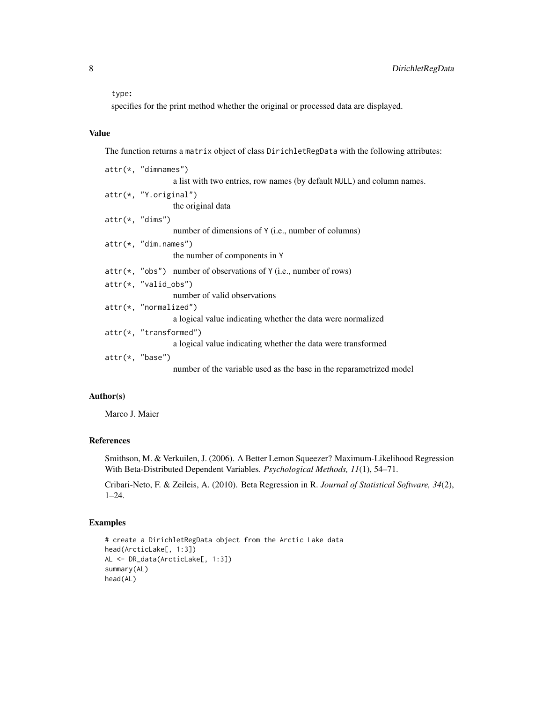#### type:

specifies for the print method whether the original or processed data are displayed.

# Value

The function returns a matrix object of class DirichletRegData with the following attributes:

|                   | $attr(*, "dimnames")$                                                  |
|-------------------|------------------------------------------------------------------------|
|                   | a list with two entries, row names (by default NULL) and column names. |
|                   | $attr(*, "Y.original")$                                                |
|                   | the original data                                                      |
| $attr(*, "dims")$ |                                                                        |
|                   | number of dimensions of Y (i.e., number of columns)                    |
|                   | $attr(*, "dim.name's")$                                                |
|                   | the number of components in Y                                          |
|                   | $attr(*, "obs")$ number of observations of Y (i.e., number of rows)    |
|                   | $attr(*, "valid_obs")$                                                 |
|                   | number of valid observations                                           |
|                   | $attr(*, "normalized")$                                                |
|                   | a logical value indicating whether the data were normalized            |
|                   | $attr(*, "transformed")$                                               |
|                   | a logical value indicating whether the data were transformed           |
| $attr(*, "base")$ |                                                                        |
|                   | number of the variable used as the base in the reparametrized model    |
|                   |                                                                        |

# Author(s)

Marco J. Maier

# References

Smithson, M. & Verkuilen, J. (2006). A Better Lemon Squeezer? Maximum-Likelihood Regression With Beta-Distributed Dependent Variables. *Psychological Methods, 11*(1), 54–71.

Cribari-Neto, F. & Zeileis, A. (2010). Beta Regression in R. *Journal of Statistical Software, 34*(2), 1–24.

# Examples

```
# create a DirichletRegData object from the Arctic Lake data
head(ArcticLake[, 1:3])
AL <- DR_data(ArcticLake[, 1:3])
summary(AL)
head(AL)
```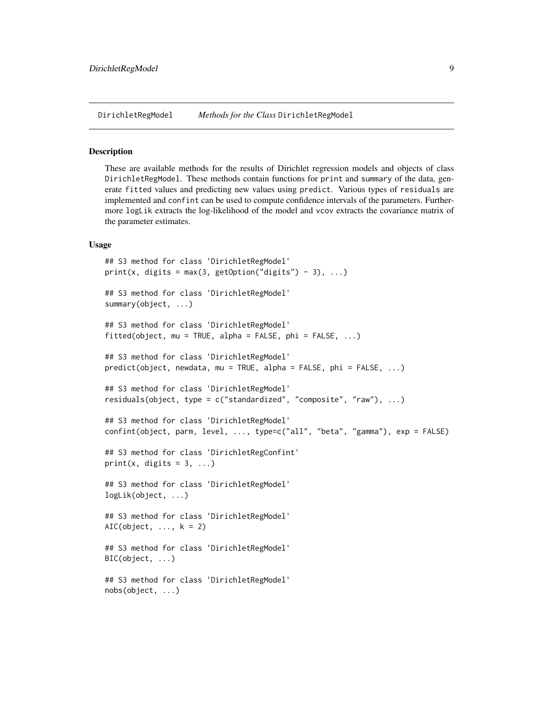<span id="page-8-0"></span>DirichletRegModel *Methods for the Class* DirichletRegModel

#### Description

These are available methods for the results of Dirichlet regression models and objects of class DirichletRegModel. These methods contain functions for print and summary of the data, generate fitted values and predicting new values using predict. Various types of residuals are implemented and confint can be used to compute confidence intervals of the parameters. Furthermore logLik extracts the log-likelihood of the model and vcov extracts the covariance matrix of the parameter estimates.

#### Usage

```
## S3 method for class 'DirichletRegModel'
print(x, digits = max(3, getOption("digits") - 3), ...)## S3 method for class 'DirichletRegModel'
summary(object, ...)
## S3 method for class 'DirichletRegModel'
fitted(object, mu = TRUE, alpha = FALSE, phi = FALSE, ...)
## S3 method for class 'DirichletRegModel'
predict(object, newdata, mu = TRUE, alpha = FALSE, phi = FALSE, ...)
## S3 method for class 'DirichletRegModel'
residuals(object, type = c("standardized", "composite", "raw"), ...)
## S3 method for class 'DirichletRegModel'
confint(object, parm, level, ..., type=c("all", "beta", "gamma"), exp = FALSE)
## S3 method for class 'DirichletRegConfint'
print(x, digits = 3, ...)
## S3 method for class 'DirichletRegModel'
logLik(object, ...)
## S3 method for class 'DirichletRegModel'
AIC(object, ..., k = 2)## S3 method for class 'DirichletRegModel'
BIC(object, ...)
## S3 method for class 'DirichletRegModel'
nobs(object, ...)
```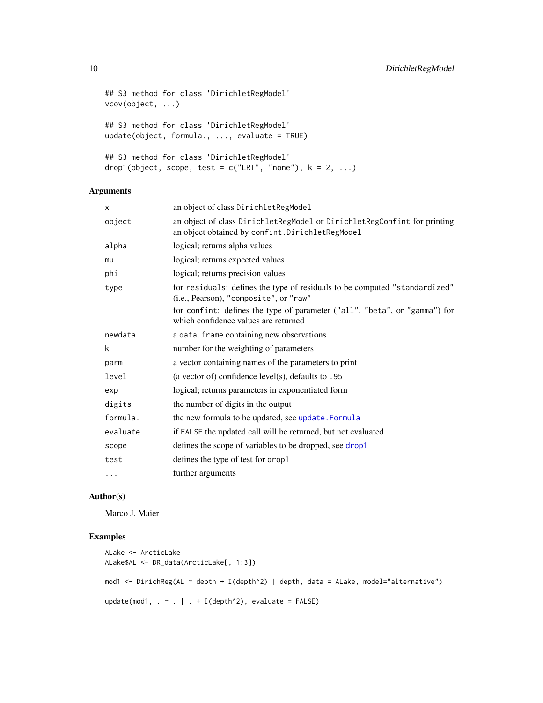```
## S3 method for class 'DirichletRegModel'
vcov(object, ...)
## S3 method for class 'DirichletRegModel'
update(object, formula., ..., evaluate = TRUE)
## S3 method for class 'DirichletRegModel'
drop1(object, scope, test = c("LRT", "none"), k = 2, ...)
```
# Arguments

| X        | an object of class DirichletRegModel                                                                                         |
|----------|------------------------------------------------------------------------------------------------------------------------------|
| object   | an object of class DirichletRegModel or DirichletRegConfint for printing<br>an object obtained by confint. DirichletRegModel |
| alpha    | logical; returns alpha values                                                                                                |
| mu       | logical; returns expected values                                                                                             |
| phi      | logical; returns precision values                                                                                            |
| type     | for residuals: defines the type of residuals to be computed "standardized"<br>(i.e., Pearson), "composite", or "raw"         |
|          | for confint: defines the type of parameter ("all", "beta", or "gamma") for<br>which confidence values are returned           |
| newdata  | a data. frame containing new observations                                                                                    |
| k        | number for the weighting of parameters                                                                                       |
| parm     | a vector containing names of the parameters to print                                                                         |
| level    | (a vector of) confidence level(s), defaults to $.95$                                                                         |
| exp      | logical; returns parameters in exponentiated form                                                                            |
| digits   | the number of digits in the output                                                                                           |
| formula. | the new formula to be updated, see update. Formula                                                                           |
| evaluate | if FALSE the updated call will be returned, but not evaluated                                                                |
| scope    | defines the scope of variables to be dropped, see drop1                                                                      |
| test     | defines the type of test for drop1                                                                                           |
| $\cdots$ | further arguments                                                                                                            |

#### Author(s)

Marco J. Maier

#### Examples

```
ALake <- ArcticLake
ALake$AL <- DR_data(ArcticLake[, 1:3])
mod1 <- DirichReg(AL ~ depth + I(depth^2) | depth, data = ALake, model="alternative")
update(mod1, . ~ . | . + I(depth^2), evaluate = FALSE)
```
<span id="page-9-0"></span>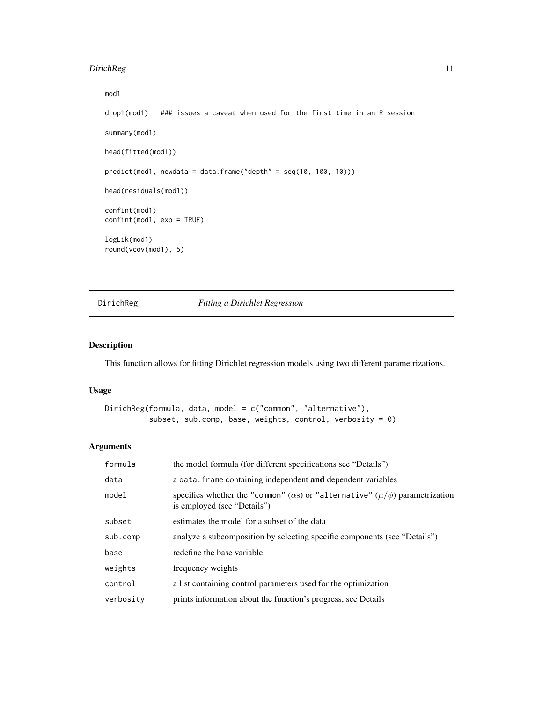# <span id="page-10-0"></span>DirichReg 11

```
mod1
drop1(mod1) ### issues a caveat when used for the first time in an R session
summary(mod1)
head(fitted(mod1))
predict(mod1, newdata = data.frame("depth" = seq(10, 100, 10)))
head(residuals(mod1))
confint(mod1)
confint(mod1, exp = TRUE)
logLik(mod1)
round(vcov(mod1), 5)
```
<span id="page-10-1"></span>DirichReg *Fitting a Dirichlet Regression*

# Description

This function allows for fitting Dirichlet regression models using two different parametrizations.

# Usage

```
DirichReg(formula, data, model = c("common", "alternative"),
          subset, sub.comp, base, weights, control, verbosity = 0)
```
# Arguments

| formula   | the model formula (for different specifications see "Details")                                                              |
|-----------|-----------------------------------------------------------------------------------------------------------------------------|
| data      | a data. frame containing independent and dependent variables                                                                |
| model     | specifies whether the "common" ( $\alpha$ s) or "alternative" ( $\mu/\phi$ ) parametrization<br>is employed (see "Details") |
| subset    | estimates the model for a subset of the data                                                                                |
| sub.comp  | analyze a subcomposition by selecting specific components (see "Details")                                                   |
| base      | redefine the base variable                                                                                                  |
| weights   | frequency weights                                                                                                           |
| control   | a list containing control parameters used for the optimization                                                              |
| verbosity | prints information about the function's progress, see Details                                                               |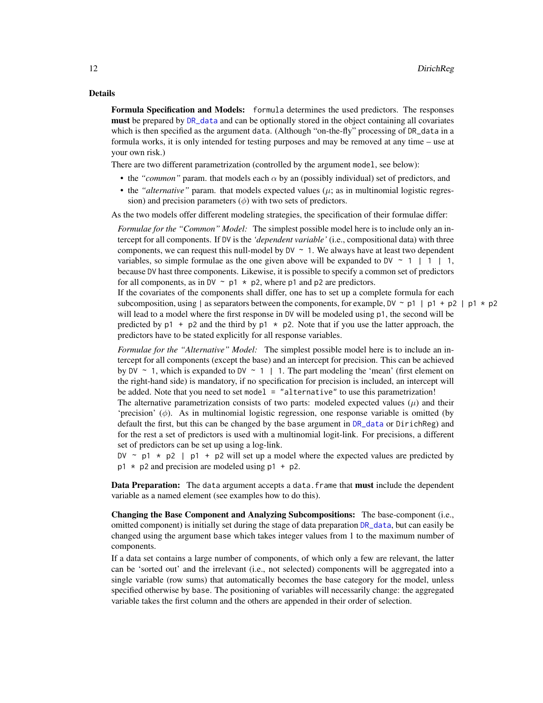# <span id="page-11-0"></span>Details

Formula Specification and Models: formula determines the used predictors. The responses must be prepared by [DR\\_data](#page-5-1) and can be optionally stored in the object containing all covariates which is then specified as the argument data. (Although "on-the-fly" processing of DR\_data in a formula works, it is only intended for testing purposes and may be removed at any time – use at your own risk.)

There are two different parametrization (controlled by the argument model, see below):

- the "*common*" param. that models each  $\alpha$  by an (possibly individual) set of predictors, and
- the *"alternative"* param. that models expected values  $(\mu; \text{ as in multinomial logistic regression})$ sion) and precision parameters  $(\phi)$  with two sets of predictors.

As the two models offer different modeling strategies, the specification of their formulae differ:

*Formulae for the "Common" Model:* The simplest possible model here is to include only an intercept for all components. If DV is the *'dependent variable'* (i.e., compositional data) with three components, we can request this null-model by  $DV \sim 1$ . We always have at least two dependent variables, so simple formulae as the one given above will be expanded to DV  $\sim$  1 | 1 | 1, because DV hast three components. Likewise, it is possible to specify a common set of predictors for all components, as in DV  $\sim$  p1  $*$  p2, where p1 and p2 are predictors.

If the covariates of the components shall differ, one has to set up a complete formula for each subcomposition, using | as separators between the components, for example,  $DY \sim p1$  | p1 + p2 | p1  $\star$  p2 will lead to a model where the first response in DV will be modeled using p1, the second will be predicted by  $p1 + p2$  and the third by  $p1 \star p2$ . Note that if you use the latter approach, the predictors have to be stated explicitly for all response variables.

*Formulae for the "Alternative" Model:* The simplest possible model here is to include an intercept for all components (except the base) and an intercept for precision. This can be achieved by DV  $\sim$  1, which is expanded to DV  $\sim$  1 | 1. The part modeling the 'mean' (first element on the right-hand side) is mandatory, if no specification for precision is included, an intercept will be added. Note that you need to set model  $=$  "alternative" to use this parametrization!

The alternative parametrization consists of two parts: modeled expected values  $(\mu)$  and their 'precision'  $(\phi)$ . As in multinomial logistic regression, one response variable is omitted (by default the first, but this can be changed by the base argument in [DR\\_data](#page-5-1) or DirichReg) and for the rest a set of predictors is used with a multinomial logit-link. For precisions, a different set of predictors can be set up using a log-link.

DV  $\sim$  p1  $\star$  p2 | p1 + p2 will set up a model where the expected values are predicted by  $p1 \times p2$  and precision are modeled using  $p1 + p2$ .

Data Preparation: The data argument accepts a data. frame that must include the dependent variable as a named element (see examples how to do this).

Changing the Base Component and Analyzing Subcompositions: The base-component (i.e., omitted component) is initially set during the stage of data preparation [DR\\_data](#page-5-1), but can easily be changed using the argument base which takes integer values from 1 to the maximum number of components.

If a data set contains a large number of components, of which only a few are relevant, the latter can be 'sorted out' and the irrelevant (i.e., not selected) components will be aggregated into a single variable (row sums) that automatically becomes the base category for the model, unless specified otherwise by base. The positioning of variables will necessarily change: the aggregated variable takes the first column and the others are appended in their order of selection.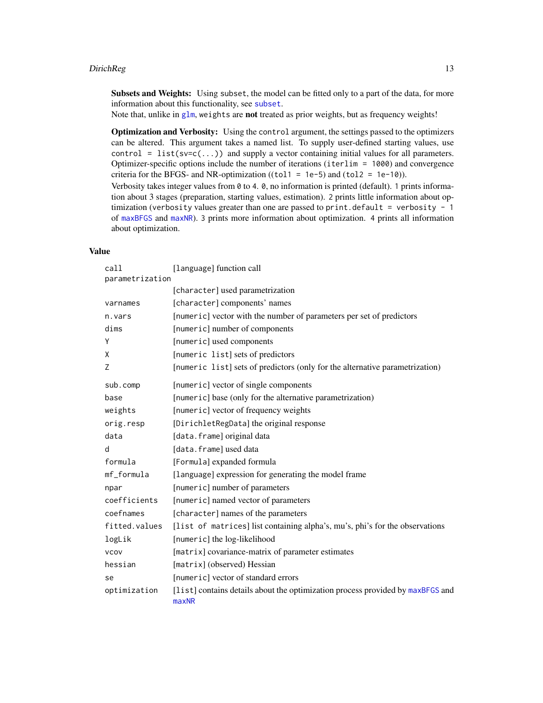<span id="page-12-0"></span>Subsets and Weights: Using subset, the model can be fitted only to a part of the data, for more information about this functionality, see [subset](#page-0-0).

Note that, unlike in [glm](#page-0-0), weights are not treated as prior weights, but as frequency weights!

Optimization and Verbosity: Using the control argument, the settings passed to the optimizers can be altered. This argument takes a named list. To supply user-defined starting values, use control = list(sv=c(...)) and supply a vector containing initial values for all parameters. Optimizer-specific options include the number of iterations (iterlim = 1000) and convergence criteria for the BFGS- and NR-optimization ((tol1 = 1e-5) and (tol2 = 1e-10)). Verbosity takes integer values from 0 to 4. 0, no information is printed (default). 1 prints information about 3 stages (preparation, starting values, estimation). 2 prints little information about optimization (verbosity values greater than one are passed to print.default = verbosity -  $1$ of [maxBFGS](#page-0-0) and [maxNR](#page-0-0)). 3 prints more information about optimization. 4 prints all information about optimization.

# Value

| call            | [language] function call                                                                |
|-----------------|-----------------------------------------------------------------------------------------|
| parametrization |                                                                                         |
|                 | [character] used parametrization                                                        |
| varnames        | [character] components' names                                                           |
| n.vars          | [numeric] vector with the number of parameters per set of predictors                    |
| dims            | [numeric] number of components                                                          |
| Υ               | [numeric] used components                                                               |
| X               | [numeric list] sets of predictors                                                       |
| Z               | [numeric list] sets of predictors (only for the alternative parametrization)            |
| sub.comp        | [numeric] vector of single components                                                   |
| base            | [numeric] base (only for the alternative parametrization)                               |
| weights         | [numeric] vector of frequency weights                                                   |
| orig.resp       | [DirichletRegData] the original response                                                |
| data            | [data.frame] original data                                                              |
| d               | [data.frame] used data                                                                  |
| formula         | [Formula] expanded formula                                                              |
| mf_formula      | [language] expression for generating the model frame                                    |
| npar            | [numeric] number of parameters                                                          |
| coefficients    | [numeric] named vector of parameters                                                    |
| coefnames       | [character] names of the parameters                                                     |
| fitted.values   | [list of matrices] list containing alpha's, mu's, phi's for the observations            |
| logLik          | [numeric] the log-likelihood                                                            |
| <b>VCOV</b>     | [matrix] covariance-matrix of parameter estimates                                       |
| hessian         | [matrix] (observed) Hessian                                                             |
| se              | [numeric] vector of standard errors                                                     |
| optimization    | [list] contains details about the optimization process provided by maxBFGS and<br>maxNR |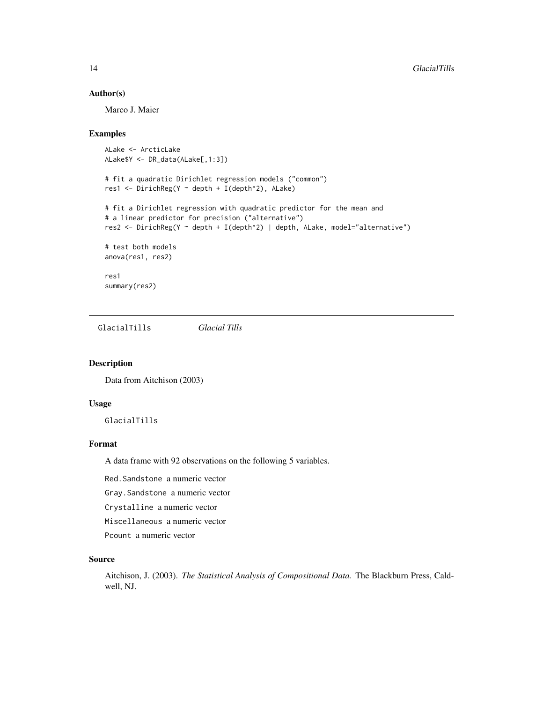# Author(s)

Marco J. Maier

#### Examples

```
ALake <- ArcticLake
ALake$Y <- DR_data(ALake[,1:3])
# fit a quadratic Dirichlet regression models ("common")
res1 <- DirichReg(Y ~ depth + I(depth^2), ALake)
# fit a Dirichlet regression with quadratic predictor for the mean and
# a linear predictor for precision ("alternative")
res2 <- DirichReg(Y ~ depth + I(depth^2) | depth, ALake, model="alternative")
# test both models
anova(res1, res2)
res1
summary(res2)
```
GlacialTills *Glacial Tills*

#### Description

Data from Aitchison (2003)

#### Usage

GlacialTills

# Format

A data frame with 92 observations on the following 5 variables.

Red.Sandstone a numeric vector

Gray.Sandstone a numeric vector

Crystalline a numeric vector

Miscellaneous a numeric vector

Pcount a numeric vector

#### Source

Aitchison, J. (2003). *The Statistical Analysis of Compositional Data.* The Blackburn Press, Caldwell, NJ.

<span id="page-13-0"></span>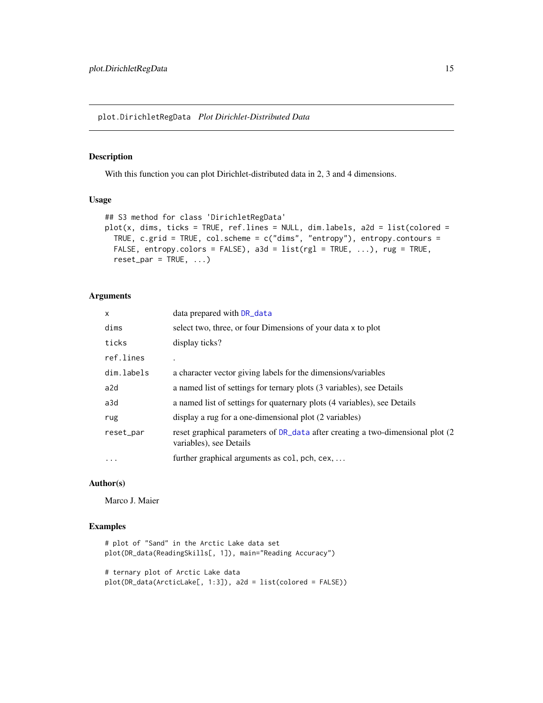<span id="page-14-0"></span>plot.DirichletRegData *Plot Dirichlet-Distributed Data*

# Description

With this function you can plot Dirichlet-distributed data in 2, 3 and 4 dimensions.

# Usage

```
## S3 method for class 'DirichletRegData'
plot(x, \text{dims}, \text{ticks = TRUE}, \text{ref.lines = NULL}, \text{dim.labels}, \text{a2d = list} (colored =TRUE, c.grid = TRUE, col.scheme = c("dims", "entropy"), entropy.contours =
  FALSE, entropy.colors = FALSE), a3d = list(rgl = TRUE, ...), rug = TRUE,
  reset\_par = TRUE, ...)
```
# Arguments

| X          | data prepared with DR_data                                                                                 |
|------------|------------------------------------------------------------------------------------------------------------|
| dims       | select two, three, or four Dimensions of your data x to plot                                               |
| ticks      | display ticks?                                                                                             |
| ref.lines  |                                                                                                            |
| dim.labels | a character vector giving labels for the dimensions/variables                                              |
| a2d        | a named list of settings for ternary plots (3 variables), see Details                                      |
| a3d        | a named list of settings for quaternary plots (4 variables), see Details                                   |
| rug        | display a rug for a one-dimensional plot (2 variables)                                                     |
| reset_par  | reset graphical parameters of DR_data after creating a two-dimensional plot (2)<br>variables), see Details |
| $\ddotsc$  | further graphical arguments as col, pch, cex,                                                              |
|            |                                                                                                            |

# Author(s)

Marco J. Maier

# Examples

```
# plot of "Sand" in the Arctic Lake data set
plot(DR_data(ReadingSkills[, 1]), main="Reading Accuracy")
# ternary plot of Arctic Lake data
plot(DR_data(ArcticLake[, 1:3]), a2d = list(colored = FALSE))
```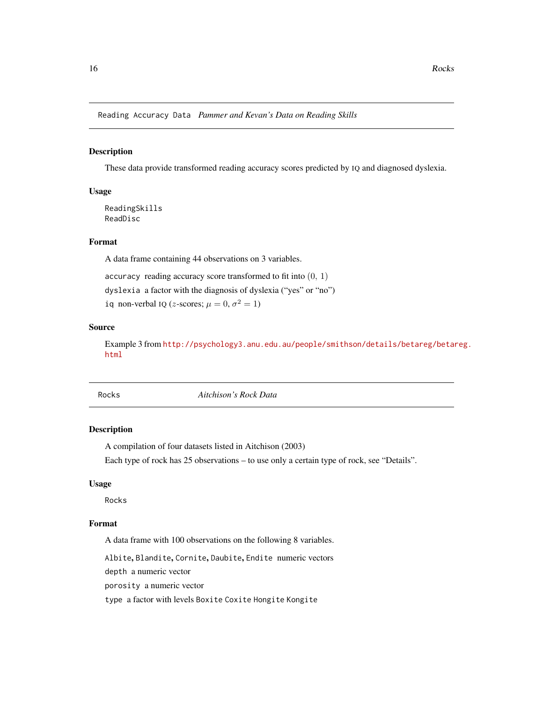<span id="page-15-0"></span>Reading Accuracy Data *Pammer and Kevan's Data on Reading Skills*

#### Description

These data provide transformed reading accuracy scores predicted by IQ and diagnosed dyslexia.

#### Usage

ReadingSkills ReadDisc

# Format

A data frame containing 44 observations on 3 variables.

accuracy reading accuracy score transformed to fit into  $(0, 1)$ 

dyslexia a factor with the diagnosis of dyslexia ("yes" or "no")

iq non-verbal IQ (*z*-scores;  $\mu = 0, \sigma^2 = 1$ )

# Source

Example 3 from [http://psychology3.anu.edu.au/people/smithson/details/betareg/betar](http://psychology3.anu.edu.au/people/smithson/details/betareg/betareg.html)eg. [html](http://psychology3.anu.edu.au/people/smithson/details/betareg/betareg.html)

Rocks *Aitchison's Rock Data*

# Description

A compilation of four datasets listed in Aitchison (2003)

Each type of rock has 25 observations – to use only a certain type of rock, see "Details".

#### Usage

Rocks

# Format

A data frame with 100 observations on the following 8 variables.

Albite, Blandite, Cornite, Daubite, Endite numeric vectors

depth a numeric vector

porosity a numeric vector

type a factor with levels Boxite Coxite Hongite Kongite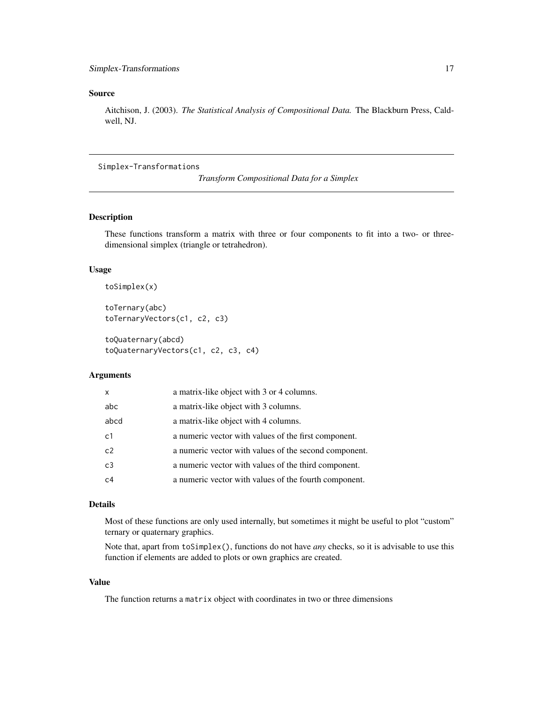# <span id="page-16-0"></span>Source

Aitchison, J. (2003). *The Statistical Analysis of Compositional Data.* The Blackburn Press, Caldwell, NJ.

# Simplex-Transformations

```
Transform Compositional Data for a Simplex
```
# Description

These functions transform a matrix with three or four components to fit into a two- or threedimensional simplex (triangle or tetrahedron).

#### Usage

```
toSimplex(x)
```
toTernary(abc) toTernaryVectors(c1, c2, c3)

toQuaternary(abcd) toQuaternaryVectors(c1, c2, c3, c4)

# Arguments

| $\mathsf{x}$   | a matrix-like object with 3 or 4 columns.             |
|----------------|-------------------------------------------------------|
| abc            | a matrix-like object with 3 columns.                  |
| abcd           | a matrix-like object with 4 columns.                  |
| c1             | a numeric vector with values of the first component.  |
| c2             | a numeric vector with values of the second component. |
| C <sub>3</sub> | a numeric vector with values of the third component.  |
| C <sub>4</sub> | a numeric vector with values of the fourth component. |

#### Details

Most of these functions are only used internally, but sometimes it might be useful to plot "custom" ternary or quaternary graphics.

Note that, apart from toSimplex(), functions do not have *any* checks, so it is advisable to use this function if elements are added to plots or own graphics are created.

# Value

The function returns a matrix object with coordinates in two or three dimensions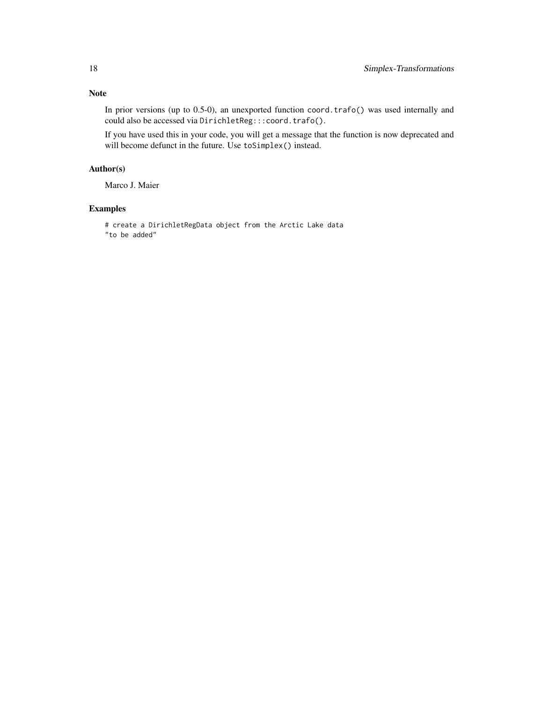# Note

In prior versions (up to 0.5-0), an unexported function coord.trafo() was used internally and could also be accessed via DirichletReg:::coord.trafo().

If you have used this in your code, you will get a message that the function is now deprecated and will become defunct in the future. Use toSimplex() instead.

# Author(s)

Marco J. Maier

# Examples

# create a DirichletRegData object from the Arctic Lake data "to be added"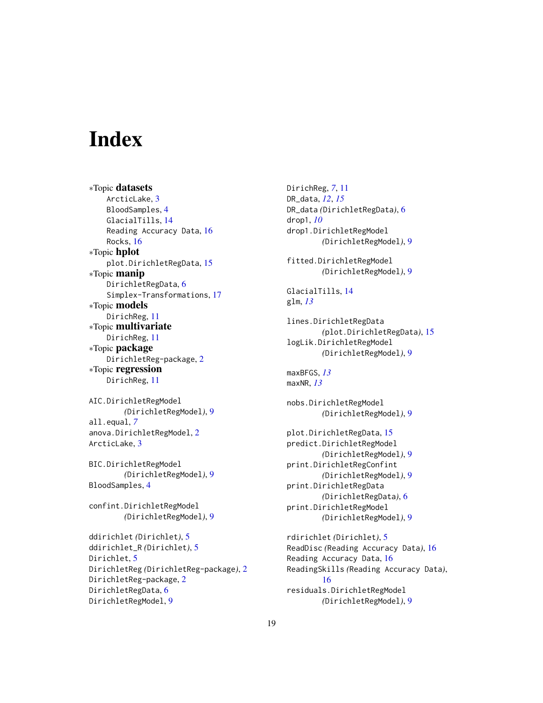# <span id="page-18-0"></span>**Index**

∗Topic datasets ArcticLake, [3](#page-2-0) BloodSamples, [4](#page-3-0) GlacialTills, [14](#page-13-0) Reading Accuracy Data, [16](#page-15-0) Rocks, [16](#page-15-0) ∗Topic hplot plot.DirichletRegData, [15](#page-14-0) ∗Topic manip DirichletRegData, [6](#page-5-0) Simplex-Transformations, [17](#page-16-0) ∗Topic models DirichReg, [11](#page-10-0) ∗Topic multivariate DirichReg, [11](#page-10-0) ∗Topic package DirichletReg-package, [2](#page-1-0) ∗Topic regression DirichReg, [11](#page-10-0) AIC.DirichletRegModel *(*DirichletRegModel*)*, [9](#page-8-0) all.equal, *[7](#page-6-0)* anova.DirichletRegModel, [2](#page-1-0) ArcticLake, [3](#page-2-0) BIC.DirichletRegModel *(*DirichletRegModel*)*, [9](#page-8-0) BloodSamples, [4](#page-3-0) confint.DirichletRegModel *(*DirichletRegModel*)*, [9](#page-8-0) ddirichlet *(*Dirichlet*)*, [5](#page-4-0) ddirichlet\_R *(*Dirichlet*)*, [5](#page-4-0) Dirichlet, [5](#page-4-0) DirichletReg *(*DirichletReg-package*)*, [2](#page-1-0)

DirichletReg-package, [2](#page-1-0) DirichletRegData, [6](#page-5-0) DirichletRegModel, [9](#page-8-0)

DirichReg, *[7](#page-6-0)*, [11](#page-10-0) DR\_data, *[12](#page-11-0)*, *[15](#page-14-0)* DR\_data *(*DirichletRegData*)*, [6](#page-5-0) drop1, *[10](#page-9-0)* drop1.DirichletRegModel *(*DirichletRegModel*)*, [9](#page-8-0) fitted.DirichletRegModel *(*DirichletRegModel*)*, [9](#page-8-0) GlacialTills, [14](#page-13-0) glm, *[13](#page-12-0)* lines.DirichletRegData *(*plot.DirichletRegData*)*, [15](#page-14-0) logLik.DirichletRegModel *(*DirichletRegModel*)*, [9](#page-8-0) maxBFGS, *[13](#page-12-0)* maxNR, *[13](#page-12-0)* nobs.DirichletRegModel *(*DirichletRegModel*)*, [9](#page-8-0) plot.DirichletRegData, [15](#page-14-0) predict.DirichletRegModel *(*DirichletRegModel*)*, [9](#page-8-0) print.DirichletRegConfint *(*DirichletRegModel*)*, [9](#page-8-0) print.DirichletRegData *(*DirichletRegData*)*, [6](#page-5-0) print.DirichletRegModel *(*DirichletRegModel*)*, [9](#page-8-0) rdirichlet *(*Dirichlet*)*, [5](#page-4-0) ReadDisc *(*Reading Accuracy Data*)*, [16](#page-15-0) Reading Accuracy Data, [16](#page-15-0) ReadingSkills *(*Reading Accuracy Data*)*, [16](#page-15-0)

residuals.DirichletRegModel *(*DirichletRegModel*)*, [9](#page-8-0)